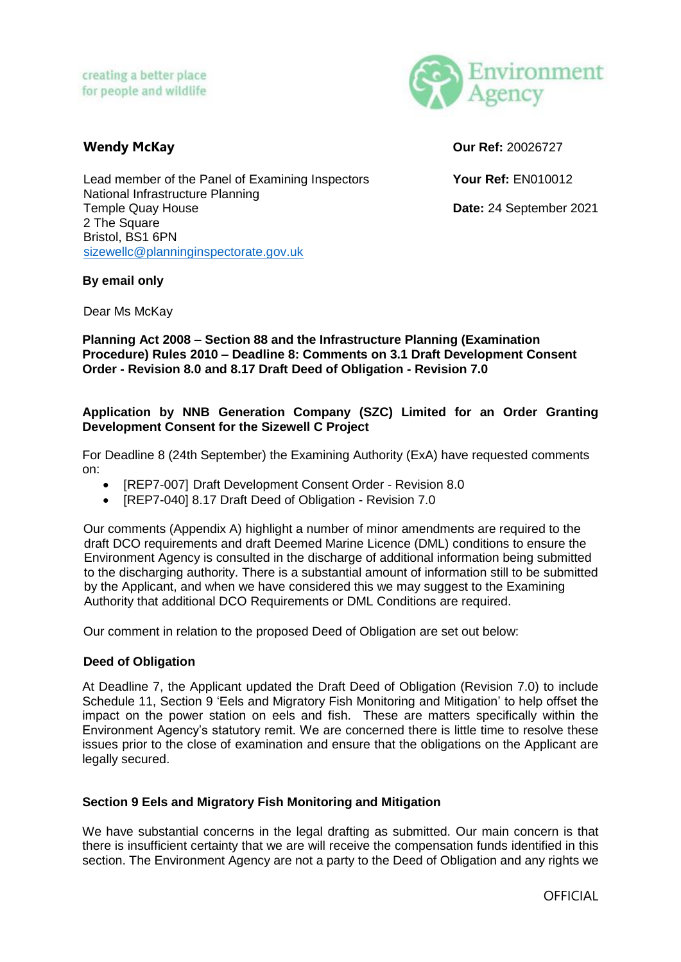

**Wendy McKay Our Ref:** 20026727

Lead member of the Panel of Examining Inspectors **Your Ref:** EN010012 National Infrastructure Planning Temple Quay House **Date:** 24 September 2021 2 The Square Bristol, BS1 6PN [sizewellc@planninginspectorate.gov.uk](mailto:sizewellc@planninginspectorate.gov.uk)

### **By email only**

Dear Ms McKay

**Planning Act 2008 – Section 88 and the Infrastructure Planning (Examination Procedure) Rules 2010 – Deadline 8: Comments on 3.1 Draft Development Consent Order - Revision 8.0 and 8.17 Draft Deed of Obligation - Revision 7.0**

### **Application by NNB Generation Company (SZC) Limited for an Order Granting Development Consent for the Sizewell C Project**

For Deadline 8 (24th September) the Examining Authority (ExA) have requested comments on:

- [REP7-007] Draft Development Consent Order Revision 8.0
- IREP7-0401 8.17 Draft Deed of Obligation Revision 7.0

Our comments (Appendix A) highlight a number of minor amendments are required to the draft DCO requirements and draft Deemed Marine Licence (DML) conditions to ensure the Environment Agency is consulted in the discharge of additional information being submitted to the discharging authority. There is a substantial amount of information still to be submitted by the Applicant, and when we have considered this we may suggest to the Examining Authority that additional DCO Requirements or DML Conditions are required.

Our comment in relation to the proposed Deed of Obligation are set out below:

### **Deed of Obligation**

At Deadline 7, the Applicant updated the Draft Deed of Obligation (Revision 7.0) to include Schedule 11, Section 9 'Eels and Migratory Fish Monitoring and Mitigation' to help offset the impact on the power station on eels and fish. These are matters specifically within the Environment Agency's statutory remit. We are concerned there is little time to resolve these issues prior to the close of examination and ensure that the obligations on the Applicant are legally secured.

### **Section 9 Eels and Migratory Fish Monitoring and Mitigation**

We have substantial concerns in the legal drafting as submitted. Our main concern is that there is insufficient certainty that we are will receive the compensation funds identified in this section. The Environment Agency are not a party to the Deed of Obligation and any rights we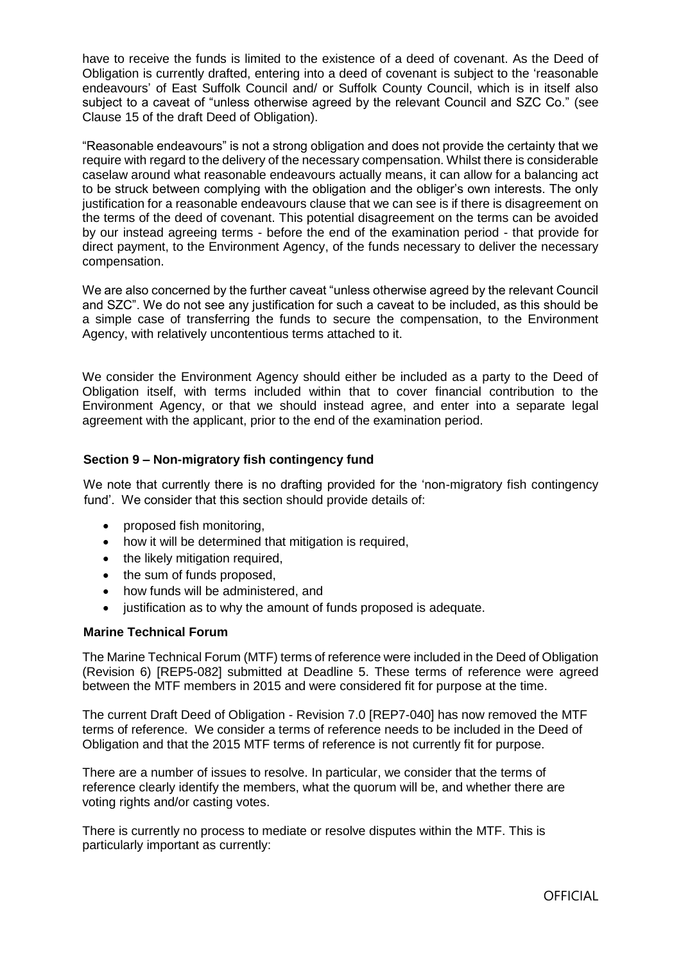have to receive the funds is limited to the existence of a deed of covenant. As the Deed of Obligation is currently drafted, entering into a deed of covenant is subject to the 'reasonable endeavours' of East Suffolk Council and/ or Suffolk County Council, which is in itself also subject to a caveat of "unless otherwise agreed by the relevant Council and SZC Co." (see Clause 15 of the draft Deed of Obligation).

"Reasonable endeavours" is not a strong obligation and does not provide the certainty that we require with regard to the delivery of the necessary compensation. Whilst there is considerable caselaw around what reasonable endeavours actually means, it can allow for a balancing act to be struck between complying with the obligation and the obliger's own interests. The only justification for a reasonable endeavours clause that we can see is if there is disagreement on the terms of the deed of covenant. This potential disagreement on the terms can be avoided by our instead agreeing terms - before the end of the examination period - that provide for direct payment, to the Environment Agency, of the funds necessary to deliver the necessary compensation.

We are also concerned by the further caveat "unless otherwise agreed by the relevant Council and SZC". We do not see any justification for such a caveat to be included, as this should be a simple case of transferring the funds to secure the compensation, to the Environment Agency, with relatively uncontentious terms attached to it.

We consider the Environment Agency should either be included as a party to the Deed of Obligation itself, with terms included within that to cover financial contribution to the Environment Agency, or that we should instead agree, and enter into a separate legal agreement with the applicant, prior to the end of the examination period.

## **Section 9 – Non-migratory fish contingency fund**

We note that currently there is no drafting provided for the 'non-migratory fish contingency fund'. We consider that this section should provide details of:

- proposed fish monitoring,
- how it will be determined that mitigation is required,
- the likely mitigation required,
- the sum of funds proposed,
- how funds will be administered, and
- justification as to why the amount of funds proposed is adequate.

#### **Marine Technical Forum**

The Marine Technical Forum (MTF) terms of reference were included in the Deed of Obligation (Revision 6) [REP5-082] submitted at Deadline 5. These terms of reference were agreed between the MTF members in 2015 and were considered fit for purpose at the time.

The current Draft Deed of Obligation - Revision 7.0 [REP7-040] has now removed the MTF terms of reference. We consider a terms of reference needs to be included in the Deed of Obligation and that the 2015 MTF terms of reference is not currently fit for purpose.

There are a number of issues to resolve. In particular, we consider that the terms of reference clearly identify the members, what the quorum will be, and whether there are voting rights and/or casting votes.

There is currently no process to mediate or resolve disputes within the MTF. This is particularly important as currently: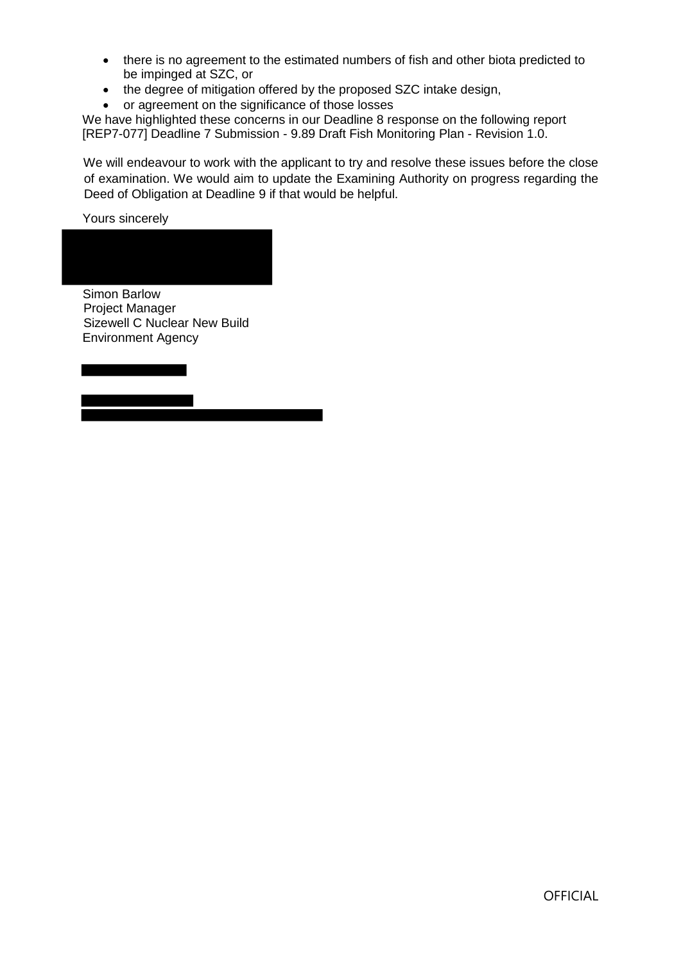- there is no agreement to the estimated numbers of fish and other biota predicted to be impinged at SZC, or
- the degree of mitigation offered by the proposed SZC intake design,
- or agreement on the significance of those losses

We have highlighted these concerns in our Deadline 8 response on the following report [REP7-077] Deadline 7 Submission - 9.89 Draft Fish Monitoring Plan - Revision 1.0.

We will endeavour to work with the applicant to try and resolve these issues before the close of examination. We would aim to update the Examining Authority on progress regarding the Deed of Obligation at Deadline 9 if that would be helpful.

Yours sincerely

Simon Barlow Project Manager Sizewell C Nuclear New Build Environment Agency

**OFFICIAL**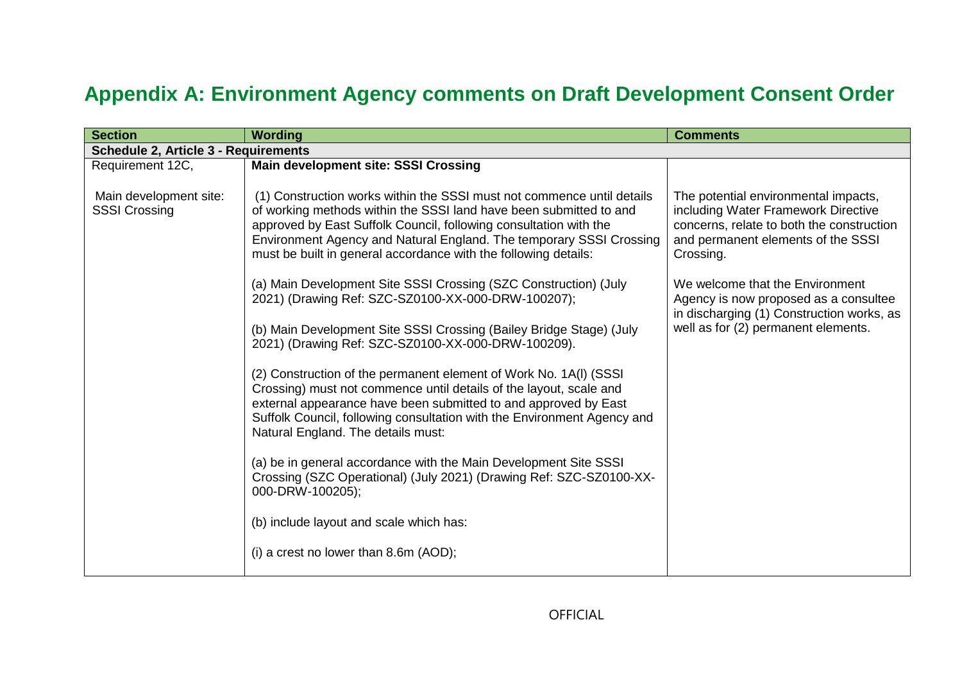# **Appendix A: Environment Agency comments on Draft Development Consent Order**

| <b>Section</b>                                 | <b>Wording</b>                                                                                                                                                                                                                                                                                                                                              | <b>Comments</b>                                                                                                                                                             |  |  |  |
|------------------------------------------------|-------------------------------------------------------------------------------------------------------------------------------------------------------------------------------------------------------------------------------------------------------------------------------------------------------------------------------------------------------------|-----------------------------------------------------------------------------------------------------------------------------------------------------------------------------|--|--|--|
|                                                | <b>Schedule 2, Article 3 - Requirements</b>                                                                                                                                                                                                                                                                                                                 |                                                                                                                                                                             |  |  |  |
| Requirement 12C,                               | <b>Main development site: SSSI Crossing</b>                                                                                                                                                                                                                                                                                                                 |                                                                                                                                                                             |  |  |  |
| Main development site:<br><b>SSSI Crossing</b> | (1) Construction works within the SSSI must not commence until details<br>of working methods within the SSSI land have been submitted to and<br>approved by East Suffolk Council, following consultation with the<br>Environment Agency and Natural England. The temporary SSSI Crossing<br>must be built in general accordance with the following details: | The potential environmental impacts,<br>including Water Framework Directive<br>concerns, relate to both the construction<br>and permanent elements of the SSSI<br>Crossing. |  |  |  |
|                                                | (a) Main Development Site SSSI Crossing (SZC Construction) (July<br>2021) (Drawing Ref: SZC-SZ0100-XX-000-DRW-100207);                                                                                                                                                                                                                                      | We welcome that the Environment<br>Agency is now proposed as a consultee<br>in discharging (1) Construction works, as                                                       |  |  |  |
|                                                | (b) Main Development Site SSSI Crossing (Bailey Bridge Stage) (July<br>2021) (Drawing Ref: SZC-SZ0100-XX-000-DRW-100209).                                                                                                                                                                                                                                   | well as for (2) permanent elements.                                                                                                                                         |  |  |  |
|                                                | (2) Construction of the permanent element of Work No. 1A(I) (SSSI<br>Crossing) must not commence until details of the layout, scale and<br>external appearance have been submitted to and approved by East<br>Suffolk Council, following consultation with the Environment Agency and<br>Natural England. The details must:                                 |                                                                                                                                                                             |  |  |  |
|                                                | (a) be in general accordance with the Main Development Site SSSI<br>Crossing (SZC Operational) (July 2021) (Drawing Ref: SZC-SZ0100-XX-<br>000-DRW-100205);                                                                                                                                                                                                 |                                                                                                                                                                             |  |  |  |
|                                                | (b) include layout and scale which has:                                                                                                                                                                                                                                                                                                                     |                                                                                                                                                                             |  |  |  |
|                                                | (i) a crest no lower than $8.6m$ (AOD);                                                                                                                                                                                                                                                                                                                     |                                                                                                                                                                             |  |  |  |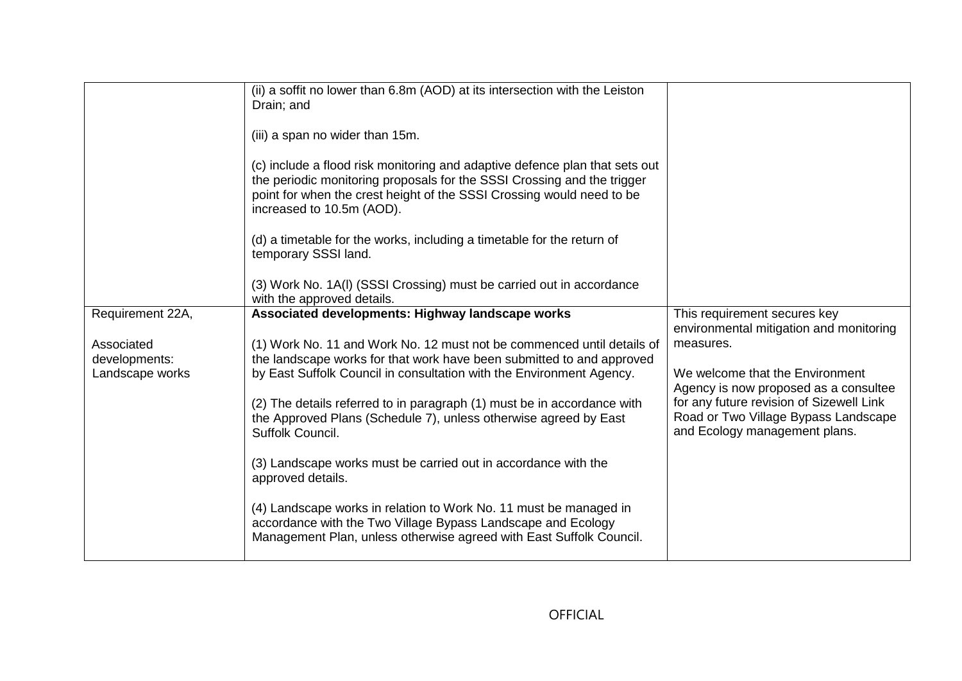|                                                                    | (ii) a soffit no lower than 6.8m (AOD) at its intersection with the Leiston<br>Drain; and<br>(iii) a span no wider than 15m.<br>(c) include a flood risk monitoring and adaptive defence plan that sets out<br>the periodic monitoring proposals for the SSSI Crossing and the trigger<br>point for when the crest height of the SSSI Crossing would need to be<br>increased to 10.5m (AOD).<br>(d) a timetable for the works, including a timetable for the return of<br>temporary SSSI land.<br>(3) Work No. 1A(I) (SSSI Crossing) must be carried out in accordance                                                                                                                                                                                                          |                                                                                                                                                                                                                                                                                       |
|--------------------------------------------------------------------|---------------------------------------------------------------------------------------------------------------------------------------------------------------------------------------------------------------------------------------------------------------------------------------------------------------------------------------------------------------------------------------------------------------------------------------------------------------------------------------------------------------------------------------------------------------------------------------------------------------------------------------------------------------------------------------------------------------------------------------------------------------------------------|---------------------------------------------------------------------------------------------------------------------------------------------------------------------------------------------------------------------------------------------------------------------------------------|
| Requirement 22A,<br>Associated<br>developments:<br>Landscape works | with the approved details.<br>Associated developments: Highway landscape works<br>(1) Work No. 11 and Work No. 12 must not be commenced until details of<br>the landscape works for that work have been submitted to and approved<br>by East Suffolk Council in consultation with the Environment Agency.<br>(2) The details referred to in paragraph (1) must be in accordance with<br>the Approved Plans (Schedule 7), unless otherwise agreed by East<br>Suffolk Council.<br>(3) Landscape works must be carried out in accordance with the<br>approved details.<br>(4) Landscape works in relation to Work No. 11 must be managed in<br>accordance with the Two Village Bypass Landscape and Ecology<br>Management Plan, unless otherwise agreed with East Suffolk Council. | This requirement secures key<br>environmental mitigation and monitoring<br>measures.<br>We welcome that the Environment<br>Agency is now proposed as a consultee<br>for any future revision of Sizewell Link<br>Road or Two Village Bypass Landscape<br>and Ecology management plans. |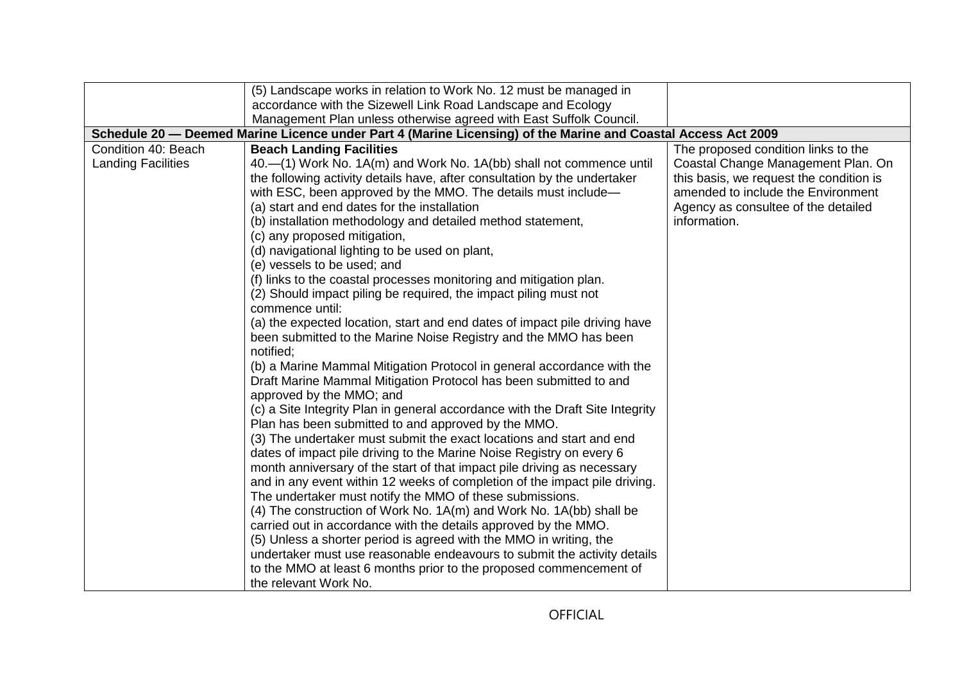|                           | (5) Landscape works in relation to Work No. 12 must be managed in                                                                              |                                         |  |  |  |
|---------------------------|------------------------------------------------------------------------------------------------------------------------------------------------|-----------------------------------------|--|--|--|
|                           | accordance with the Sizewell Link Road Landscape and Ecology                                                                                   |                                         |  |  |  |
|                           | Management Plan unless otherwise agreed with East Suffolk Council.                                                                             |                                         |  |  |  |
|                           | Schedule 20 - Deemed Marine Licence under Part 4 (Marine Licensing) of the Marine and Coastal Access Act 2009                                  |                                         |  |  |  |
| Condition 40: Beach       | <b>Beach Landing Facilities</b>                                                                                                                | The proposed condition links to the     |  |  |  |
| <b>Landing Facilities</b> | 40.—(1) Work No. 1A(m) and Work No. 1A(bb) shall not commence until                                                                            | Coastal Change Management Plan. On      |  |  |  |
|                           | the following activity details have, after consultation by the undertaker                                                                      | this basis, we request the condition is |  |  |  |
|                           | with ESC, been approved by the MMO. The details must include-                                                                                  | amended to include the Environment      |  |  |  |
|                           | (a) start and end dates for the installation                                                                                                   | Agency as consultee of the detailed     |  |  |  |
|                           | (b) installation methodology and detailed method statement,                                                                                    | information.                            |  |  |  |
|                           | (c) any proposed mitigation,                                                                                                                   |                                         |  |  |  |
|                           | (d) navigational lighting to be used on plant,                                                                                                 |                                         |  |  |  |
|                           | (e) vessels to be used; and<br>(f) links to the coastal processes monitoring and mitigation plan.                                              |                                         |  |  |  |
|                           | (2) Should impact piling be required, the impact piling must not                                                                               |                                         |  |  |  |
|                           | commence until:                                                                                                                                |                                         |  |  |  |
|                           | (a) the expected location, start and end dates of impact pile driving have                                                                     |                                         |  |  |  |
|                           | been submitted to the Marine Noise Registry and the MMO has been                                                                               |                                         |  |  |  |
|                           | notified;                                                                                                                                      |                                         |  |  |  |
|                           | (b) a Marine Mammal Mitigation Protocol in general accordance with the                                                                         |                                         |  |  |  |
|                           | Draft Marine Mammal Mitigation Protocol has been submitted to and                                                                              |                                         |  |  |  |
|                           | approved by the MMO; and                                                                                                                       |                                         |  |  |  |
|                           | (c) a Site Integrity Plan in general accordance with the Draft Site Integrity                                                                  |                                         |  |  |  |
|                           | Plan has been submitted to and approved by the MMO.                                                                                            |                                         |  |  |  |
|                           | (3) The undertaker must submit the exact locations and start and end                                                                           |                                         |  |  |  |
|                           | dates of impact pile driving to the Marine Noise Registry on every 6                                                                           |                                         |  |  |  |
|                           | month anniversary of the start of that impact pile driving as necessary                                                                        |                                         |  |  |  |
|                           | and in any event within 12 weeks of completion of the impact pile driving.                                                                     |                                         |  |  |  |
|                           | The undertaker must notify the MMO of these submissions.                                                                                       |                                         |  |  |  |
|                           | (4) The construction of Work No. 1A(m) and Work No. 1A(bb) shall be                                                                            |                                         |  |  |  |
|                           | carried out in accordance with the details approved by the MMO.                                                                                |                                         |  |  |  |
|                           | (5) Unless a shorter period is agreed with the MMO in writing, the                                                                             |                                         |  |  |  |
|                           | undertaker must use reasonable endeavours to submit the activity details<br>to the MMO at least 6 months prior to the proposed commencement of |                                         |  |  |  |
|                           | the relevant Work No.                                                                                                                          |                                         |  |  |  |
|                           |                                                                                                                                                |                                         |  |  |  |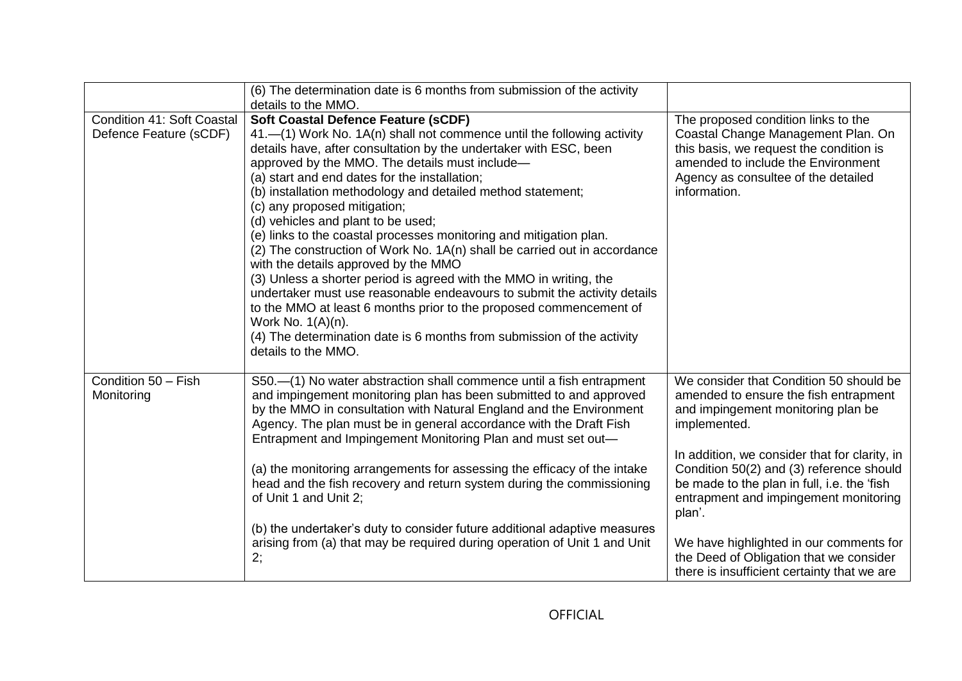|                                                      | (6) The determination date is 6 months from submission of the activity<br>details to the MMO.                                                                                                                                                                                                                                                                                                                                                                                                                                                                                                                                                                                                                                                                                                                                                                                                                                                                              |                                                                                                                                                                                                                                                                                                                                                                                                                                                                            |
|------------------------------------------------------|----------------------------------------------------------------------------------------------------------------------------------------------------------------------------------------------------------------------------------------------------------------------------------------------------------------------------------------------------------------------------------------------------------------------------------------------------------------------------------------------------------------------------------------------------------------------------------------------------------------------------------------------------------------------------------------------------------------------------------------------------------------------------------------------------------------------------------------------------------------------------------------------------------------------------------------------------------------------------|----------------------------------------------------------------------------------------------------------------------------------------------------------------------------------------------------------------------------------------------------------------------------------------------------------------------------------------------------------------------------------------------------------------------------------------------------------------------------|
|                                                      |                                                                                                                                                                                                                                                                                                                                                                                                                                                                                                                                                                                                                                                                                                                                                                                                                                                                                                                                                                            |                                                                                                                                                                                                                                                                                                                                                                                                                                                                            |
| Condition 41: Soft Coastal<br>Defence Feature (sCDF) | <b>Soft Coastal Defence Feature (sCDF)</b><br>41.—(1) Work No. 1A(n) shall not commence until the following activity<br>details have, after consultation by the undertaker with ESC, been<br>approved by the MMO. The details must include-<br>(a) start and end dates for the installation;<br>(b) installation methodology and detailed method statement;<br>(c) any proposed mitigation;<br>(d) vehicles and plant to be used;<br>(e) links to the coastal processes monitoring and mitigation plan.<br>(2) The construction of Work No. 1A(n) shall be carried out in accordance<br>with the details approved by the MMO<br>(3) Unless a shorter period is agreed with the MMO in writing, the<br>undertaker must use reasonable endeavours to submit the activity details<br>to the MMO at least 6 months prior to the proposed commencement of<br>Work No. 1(A)(n).<br>(4) The determination date is 6 months from submission of the activity<br>details to the MMO. | The proposed condition links to the<br>Coastal Change Management Plan. On<br>this basis, we request the condition is<br>amended to include the Environment<br>Agency as consultee of the detailed<br>information.                                                                                                                                                                                                                                                          |
| Condition 50 - Fish<br>Monitoring                    | S50.-(1) No water abstraction shall commence until a fish entrapment<br>and impingement monitoring plan has been submitted to and approved<br>by the MMO in consultation with Natural England and the Environment<br>Agency. The plan must be in general accordance with the Draft Fish<br>Entrapment and Impingement Monitoring Plan and must set out-<br>(a) the monitoring arrangements for assessing the efficacy of the intake<br>head and the fish recovery and return system during the commissioning<br>of Unit 1 and Unit 2;<br>(b) the undertaker's duty to consider future additional adaptive measures<br>arising from (a) that may be required during operation of Unit 1 and Unit<br>2;                                                                                                                                                                                                                                                                      | We consider that Condition 50 should be<br>amended to ensure the fish entrapment<br>and impingement monitoring plan be<br>implemented.<br>In addition, we consider that for clarity, in<br>Condition 50(2) and (3) reference should<br>be made to the plan in full, i.e. the 'fish<br>entrapment and impingement monitoring<br>plan'.<br>We have highlighted in our comments for<br>the Deed of Obligation that we consider<br>there is insufficient certainty that we are |